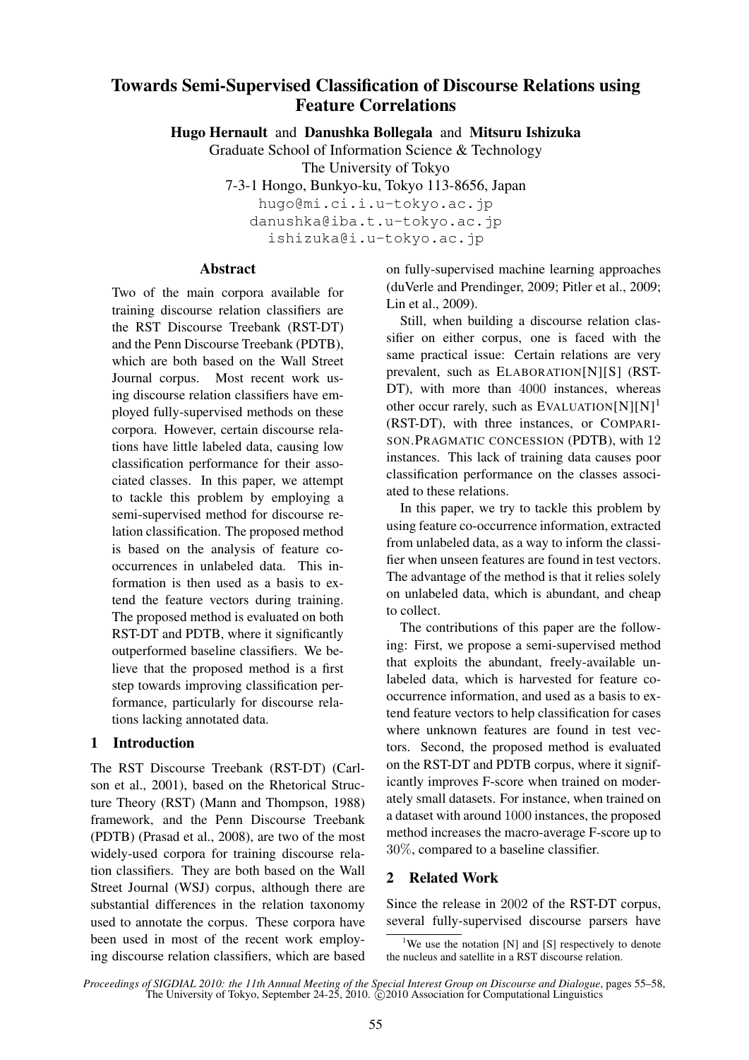# Towards Semi-Supervised Classification of Discourse Relations using Feature Correlations

Hugo Hernault and Danushka Bollegala and Mitsuru Ishizuka

Graduate School of Information Science & Technology The University of Tokyo

7-3-1 Hongo, Bunkyo-ku, Tokyo 113-8656, Japan hugo@mi.ci.i.u-tokyo.ac.jp danushka@iba.t.u-tokyo.ac.jp ishizuka@i.u-tokyo.ac.jp

## Abstract

Two of the main corpora available for training discourse relation classifiers are the RST Discourse Treebank (RST-DT) and the Penn Discourse Treebank (PDTB), which are both based on the Wall Street Journal corpus. Most recent work using discourse relation classifiers have employed fully-supervised methods on these corpora. However, certain discourse relations have little labeled data, causing low classification performance for their associated classes. In this paper, we attempt to tackle this problem by employing a semi-supervised method for discourse relation classification. The proposed method is based on the analysis of feature cooccurrences in unlabeled data. This information is then used as a basis to extend the feature vectors during training. The proposed method is evaluated on both RST-DT and PDTB, where it significantly outperformed baseline classifiers. We believe that the proposed method is a first step towards improving classification performance, particularly for discourse relations lacking annotated data.

## 1 Introduction

The RST Discourse Treebank (RST-DT) (Carlson et al., 2001), based on the Rhetorical Structure Theory (RST) (Mann and Thompson, 1988) framework, and the Penn Discourse Treebank (PDTB) (Prasad et al., 2008), are two of the most widely-used corpora for training discourse relation classifiers. They are both based on the Wall Street Journal (WSJ) corpus, although there are substantial differences in the relation taxonomy used to annotate the corpus. These corpora have been used in most of the recent work employing discourse relation classifiers, which are based on fully-supervised machine learning approaches (duVerle and Prendinger, 2009; Pitler et al., 2009; Lin et al., 2009).

Still, when building a discourse relation classifier on either corpus, one is faced with the same practical issue: Certain relations are very prevalent, such as ELABORATION[N][S] (RST-DT), with more than 4000 instances, whereas other occur rarely, such as EVALUATION $[N][N]^1$ (RST-DT), with three instances, or COMPARI-SON.PRAGMATIC CONCESSION (PDTB), with 12 instances. This lack of training data causes poor classification performance on the classes associated to these relations.

In this paper, we try to tackle this problem by using feature co-occurrence information, extracted from unlabeled data, as a way to inform the classifier when unseen features are found in test vectors. The advantage of the method is that it relies solely on unlabeled data, which is abundant, and cheap to collect.

The contributions of this paper are the following: First, we propose a semi-supervised method that exploits the abundant, freely-available unlabeled data, which is harvested for feature cooccurrence information, and used as a basis to extend feature vectors to help classification for cases where unknown features are found in test vectors. Second, the proposed method is evaluated on the RST-DT and PDTB corpus, where it significantly improves F-score when trained on moderately small datasets. For instance, when trained on a dataset with around 1000 instances, the proposed method increases the macro-average F-score up to 30%, compared to a baseline classifier.

## 2 Related Work

Since the release in 2002 of the RST-DT corpus, several fully-supervised discourse parsers have

<sup>&</sup>lt;sup>1</sup>We use the notation [N] and [S] respectively to denote the nucleus and satellite in a RST discourse relation.

*Proceedings of SIGDIAL 2010: the 11th Annual Meeting of the Special Interest Group on Discourse and Dialogue*, pages 55–58, The University of Tokyo, September 24-25, 2010.  $\odot$  2010 Association for Computational Linguistics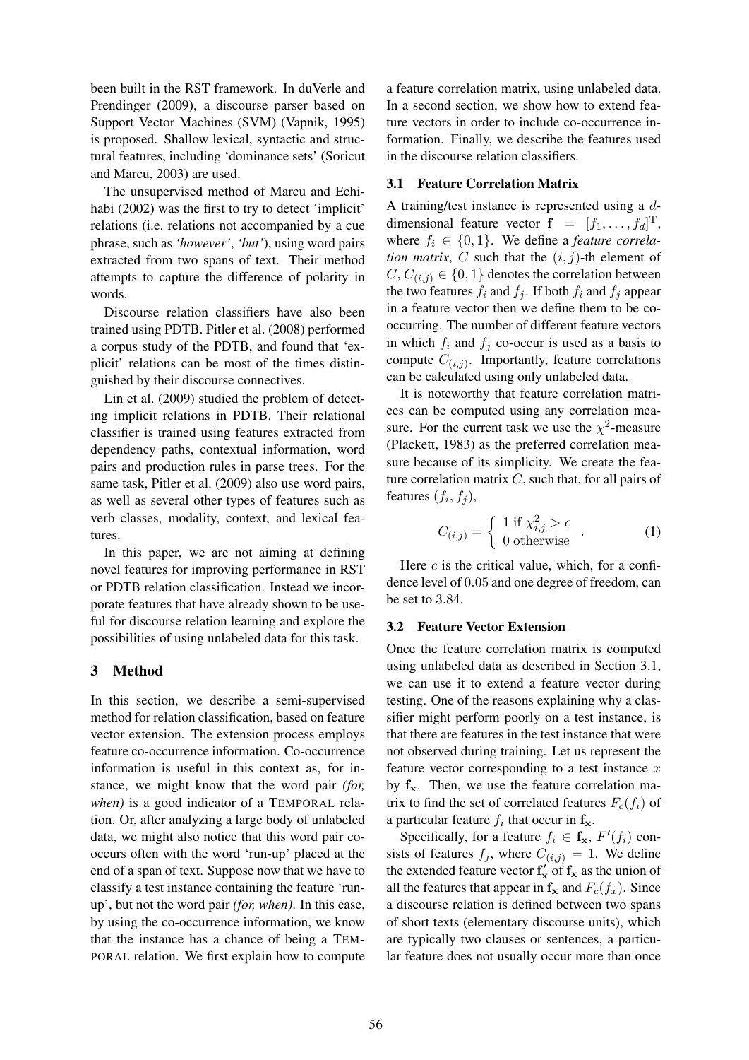been built in the RST framework. In duVerle and Prendinger (2009), a discourse parser based on Support Vector Machines (SVM) (Vapnik, 1995) is proposed. Shallow lexical, syntactic and structural features, including 'dominance sets' (Soricut and Marcu, 2003) are used.

The unsupervised method of Marcu and Echihabi (2002) was the first to try to detect 'implicit' relations (i.e. relations not accompanied by a cue phrase, such as *'however'*, *'but'*), using word pairs extracted from two spans of text. Their method attempts to capture the difference of polarity in words.

Discourse relation classifiers have also been trained using PDTB. Pitler et al. (2008) performed a corpus study of the PDTB, and found that 'explicit' relations can be most of the times distinguished by their discourse connectives.

Lin et al. (2009) studied the problem of detecting implicit relations in PDTB. Their relational classifier is trained using features extracted from dependency paths, contextual information, word pairs and production rules in parse trees. For the same task, Pitler et al. (2009) also use word pairs, as well as several other types of features such as verb classes, modality, context, and lexical features.

In this paper, we are not aiming at defining novel features for improving performance in RST or PDTB relation classification. Instead we incorporate features that have already shown to be useful for discourse relation learning and explore the possibilities of using unlabeled data for this task.

## 3 Method

In this section, we describe a semi-supervised method for relation classification, based on feature vector extension. The extension process employs feature co-occurrence information. Co-occurrence information is useful in this context as, for instance, we might know that the word pair *(for, when)* is a good indicator of a TEMPORAL relation. Or, after analyzing a large body of unlabeled data, we might also notice that this word pair cooccurs often with the word 'run-up' placed at the end of a span of text. Suppose now that we have to classify a test instance containing the feature 'runup', but not the word pair *(for, when)*. In this case, by using the co-occurrence information, we know that the instance has a chance of being a TEM-PORAL relation. We first explain how to compute a feature correlation matrix, using unlabeled data. In a second section, we show how to extend feature vectors in order to include co-occurrence information. Finally, we describe the features used in the discourse relation classifiers.

#### 3.1 Feature Correlation Matrix

A training/test instance is represented using a ddimensional feature vector  $f = [f_1, \dots, f_d]^T$ , where  $f_i \in \{0, 1\}$ . We define a *feature correlation matrix, C* such that the  $(i, j)$ -th element of  $C, C_{(i,j)} \in \{0, 1\}$  denotes the correlation between the two features  $f_i$  and  $f_j$ . If both  $f_i$  and  $f_j$  appear in a feature vector then we define them to be cooccurring. The number of different feature vectors in which  $f_i$  and  $f_j$  co-occur is used as a basis to compute  $C_{(i,j)}$ . Importantly, feature correlations can be calculated using only unlabeled data.

It is noteworthy that feature correlation matrices can be computed using any correlation measure. For the current task we use the  $\chi^2$ -measure (Plackett, 1983) as the preferred correlation measure because of its simplicity. We create the feature correlation matrix  $C$ , such that, for all pairs of features  $(f_i, f_j)$ ,

$$
C_{(i,j)} = \begin{cases} 1 \text{ if } \chi_{i,j}^2 > c \\ 0 \text{ otherwise} \end{cases} . \tag{1}
$$

Here  $c$  is the critical value, which, for a confidence level of 0.05 and one degree of freedom, can be set to 3.84.

#### 3.2 Feature Vector Extension

Once the feature correlation matrix is computed using unlabeled data as described in Section 3.1, we can use it to extend a feature vector during testing. One of the reasons explaining why a classifier might perform poorly on a test instance, is that there are features in the test instance that were not observed during training. Let us represent the feature vector corresponding to a test instance  $x$ by  $f_x$ . Then, we use the feature correlation matrix to find the set of correlated features  $F_c(f_i)$  of a particular feature  $f_i$  that occur in  $f_x$ .

Specifically, for a feature  $f_i \in \mathbf{f}_\mathbf{x}, F'(f_i)$  consists of features  $f_j$ , where  $C_{(i,j)} = 1$ . We define the extended feature vector  $f'_x$  of  $f_x$  as the union of all the features that appear in  $f_x$  and  $F_c(f_x)$ . Since a discourse relation is defined between two spans of short texts (elementary discourse units), which are typically two clauses or sentences, a particular feature does not usually occur more than once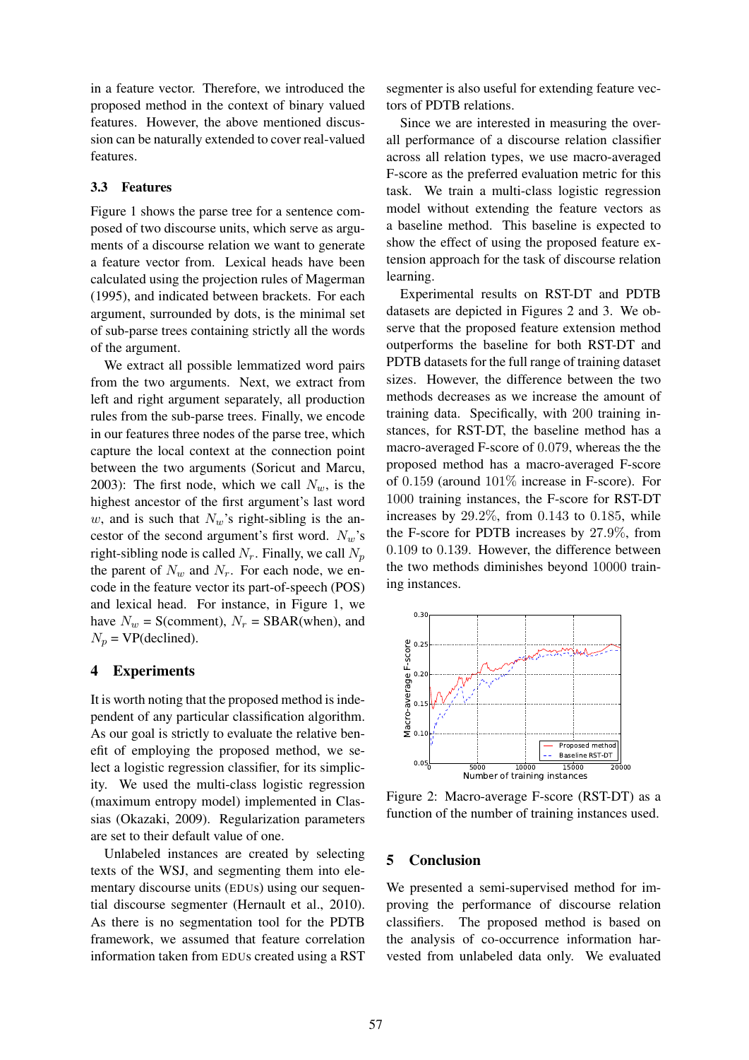in a feature vector. Therefore, we introduced the proposed method in the context of binary valued features. However, the above mentioned discussion can be naturally extended to cover real-valued features.

#### 3.3 Features

Figure 1 shows the parse tree for a sentence composed of two discourse units, which serve as arguments of a discourse relation we want to generate a feature vector from. Lexical heads have been calculated using the projection rules of Magerman (1995), and indicated between brackets. For each argument, surrounded by dots, is the minimal set of sub-parse trees containing strictly all the words of the argument.

We extract all possible lemmatized word pairs from the two arguments. Next, we extract from left and right argument separately, all production rules from the sub-parse trees. Finally, we encode in our features three nodes of the parse tree, which capture the local context at the connection point between the two arguments (Soricut and Marcu, 2003): The first node, which we call  $N_w$ , is the highest ancestor of the first argument's last word w, and is such that  $N_w$ 's right-sibling is the ancestor of the second argument's first word.  $N_w$ 's right-sibling node is called  $N_r$ . Finally, we call  $N_p$ the parent of  $N_w$  and  $N_r$ . For each node, we encode in the feature vector its part-of-speech (POS) and lexical head. For instance, in Figure 1, we have  $N_w = S$ (comment),  $N_r = SBAR(when)$ , and  $N_p$  = VP(declined).

#### 4 Experiments

It is worth noting that the proposed method is independent of any particular classification algorithm. As our goal is strictly to evaluate the relative benefit of employing the proposed method, we select a logistic regression classifier, for its simplicity. We used the multi-class logistic regression (maximum entropy model) implemented in Classias (Okazaki, 2009). Regularization parameters are set to their default value of one.

Unlabeled instances are created by selecting texts of the WSJ, and segmenting them into elementary discourse units (EDUs) using our sequential discourse segmenter (Hernault et al., 2010). As there is no segmentation tool for the PDTB framework, we assumed that feature correlation information taken from EDUs created using a RST

segmenter is also useful for extending feature vectors of PDTB relations.

Since we are interested in measuring the overall performance of a discourse relation classifier across all relation types, we use macro-averaged F-score as the preferred evaluation metric for this task. We train a multi-class logistic regression model without extending the feature vectors as a baseline method. This baseline is expected to show the effect of using the proposed feature extension approach for the task of discourse relation learning.

Experimental results on RST-DT and PDTB datasets are depicted in Figures 2 and 3. We observe that the proposed feature extension method outperforms the baseline for both RST-DT and PDTB datasets for the full range of training dataset sizes. However, the difference between the two methods decreases as we increase the amount of training data. Specifically, with 200 training instances, for RST-DT, the baseline method has a macro-averaged F-score of 0.079, whereas the the proposed method has a macro-averaged F-score of 0.159 (around 101% increase in F-score). For 1000 training instances, the F-score for RST-DT increases by 29.2%, from 0.143 to 0.185, while the F-score for PDTB increases by 27.9%, from 0.109 to 0.139. However, the difference between the two methods diminishes beyond 10000 training instances.



Figure 2: Macro-average F-score (RST-DT) as a function of the number of training instances used.

#### 5 Conclusion

We presented a semi-supervised method for improving the performance of discourse relation classifiers. The proposed method is based on the analysis of co-occurrence information harvested from unlabeled data only. We evaluated